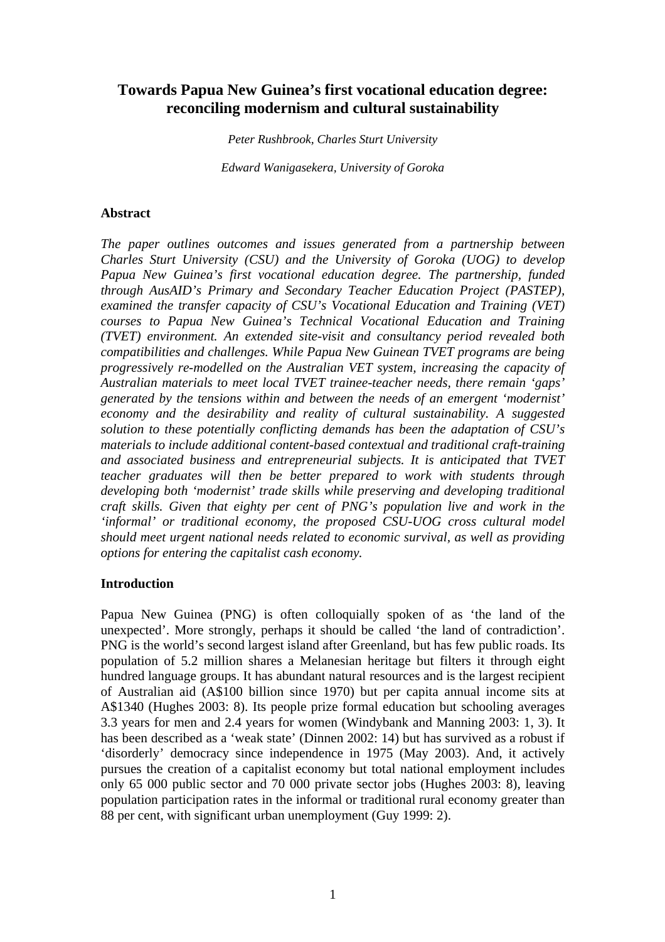# **Towards Papua New Guinea's first vocational education degree: reconciling modernism and cultural sustainability**

*Peter Rushbrook, Charles Sturt University*

*Edward Wanigasekera, University of Goroka*

#### **Abstract**

*The paper outlines outcomes and issues generated from a partnership between Charles Sturt University (CSU) and the University of Goroka (UOG) to develop Papua New Guinea's first vocational education degree. The partnership, funded through AusAID's Primary and Secondary Teacher Education Project (PASTEP), examined the transfer capacity of CSU's Vocational Education and Training (VET) courses to Papua New Guinea's Technical Vocational Education and Training (TVET) environment. An extended site-visit and consultancy period revealed both compatibilities and challenges. While Papua New Guinean TVET programs are being progressively re-modelled on the Australian VET system, increasing the capacity of Australian materials to meet local TVET trainee-teacher needs, there remain 'gaps' generated by the tensions within and between the needs of an emergent 'modernist' economy and the desirability and reality of cultural sustainability. A suggested solution to these potentially conflicting demands has been the adaptation of CSU's materials to include additional content-based contextual and traditional craft-training and associated business and entrepreneurial subjects. It is anticipated that TVET teacher graduates will then be better prepared to work with students through developing both 'modernist' trade skills while preserving and developing traditional craft skills. Given that eighty per cent of PNG's population live and work in the 'informal' or traditional economy, the proposed CSU-UOG cross cultural model should meet urgent national needs related to economic survival, as well as providing options for entering the capitalist cash economy.* 

#### **Introduction**

Papua New Guinea (PNG) is often colloquially spoken of as 'the land of the unexpected'. More strongly, perhaps it should be called 'the land of contradiction'. PNG is the world's second largest island after Greenland, but has few public roads. Its population of 5.2 million shares a Melanesian heritage but filters it through eight hundred language groups. It has abundant natural resources and is the largest recipient of Australian aid (A\$100 billion since 1970) but per capita annual income sits at A\$1340 (Hughes 2003: 8). Its people prize formal education but schooling averages 3.3 years for men and 2.4 years for women (Windybank and Manning 2003: 1, 3). It has been described as a 'weak state' (Dinnen 2002: 14) but has survived as a robust if 'disorderly' democracy since independence in 1975 (May 2003). And, it actively pursues the creation of a capitalist economy but total national employment includes only 65 000 public sector and 70 000 private sector jobs (Hughes 2003: 8), leaving population participation rates in the informal or traditional rural economy greater than 88 per cent, with significant urban unemployment (Guy 1999: 2).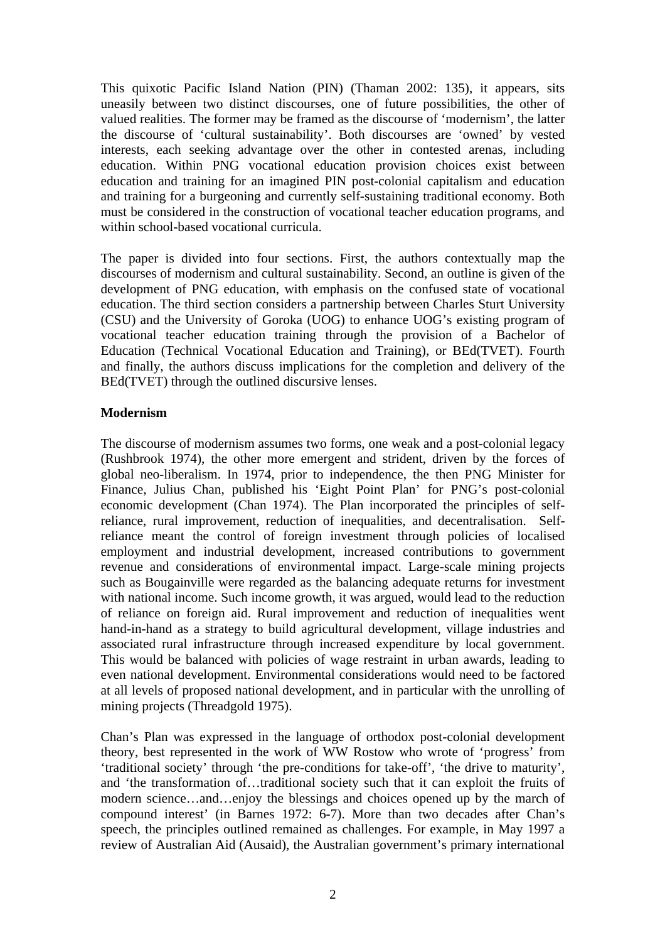This quixotic Pacific Island Nation (PIN) (Thaman 2002: 135), it appears, sits uneasily between two distinct discourses, one of future possibilities, the other of valued realities. The former may be framed as the discourse of 'modernism', the latter the discourse of 'cultural sustainability'. Both discourses are 'owned' by vested interests, each seeking advantage over the other in contested arenas, including education. Within PNG vocational education provision choices exist between education and training for an imagined PIN post-colonial capitalism and education and training for a burgeoning and currently self-sustaining traditional economy. Both must be considered in the construction of vocational teacher education programs, and within school-based vocational curricula.

The paper is divided into four sections. First, the authors contextually map the discourses of modernism and cultural sustainability. Second, an outline is given of the development of PNG education, with emphasis on the confused state of vocational education. The third section considers a partnership between Charles Sturt University (CSU) and the University of Goroka (UOG) to enhance UOG's existing program of vocational teacher education training through the provision of a Bachelor of Education (Technical Vocational Education and Training), or BEd(TVET). Fourth and finally, the authors discuss implications for the completion and delivery of the BEd(TVET) through the outlined discursive lenses.

### **Modernism**

The discourse of modernism assumes two forms, one weak and a post-colonial legacy (Rushbrook 1974), the other more emergent and strident, driven by the forces of global neo-liberalism. In 1974, prior to independence, the then PNG Minister for Finance, Julius Chan, published his 'Eight Point Plan' for PNG's post-colonial economic development (Chan 1974). The Plan incorporated the principles of selfreliance, rural improvement, reduction of inequalities, and decentralisation. Selfreliance meant the control of foreign investment through policies of localised employment and industrial development, increased contributions to government revenue and considerations of environmental impact. Large-scale mining projects such as Bougainville were regarded as the balancing adequate returns for investment with national income. Such income growth, it was argued, would lead to the reduction of reliance on foreign aid. Rural improvement and reduction of inequalities went hand-in-hand as a strategy to build agricultural development, village industries and associated rural infrastructure through increased expenditure by local government. This would be balanced with policies of wage restraint in urban awards, leading to even national development. Environmental considerations would need to be factored at all levels of proposed national development, and in particular with the unrolling of mining projects (Threadgold 1975).

Chan's Plan was expressed in the language of orthodox post-colonial development theory, best represented in the work of WW Rostow who wrote of 'progress' from 'traditional society' through 'the pre-conditions for take-off', 'the drive to maturity', and 'the transformation of…traditional society such that it can exploit the fruits of modern science…and…enjoy the blessings and choices opened up by the march of compound interest' (in Barnes 1972: 6-7). More than two decades after Chan's speech, the principles outlined remained as challenges. For example, in May 1997 a review of Australian Aid (Ausaid), the Australian government's primary international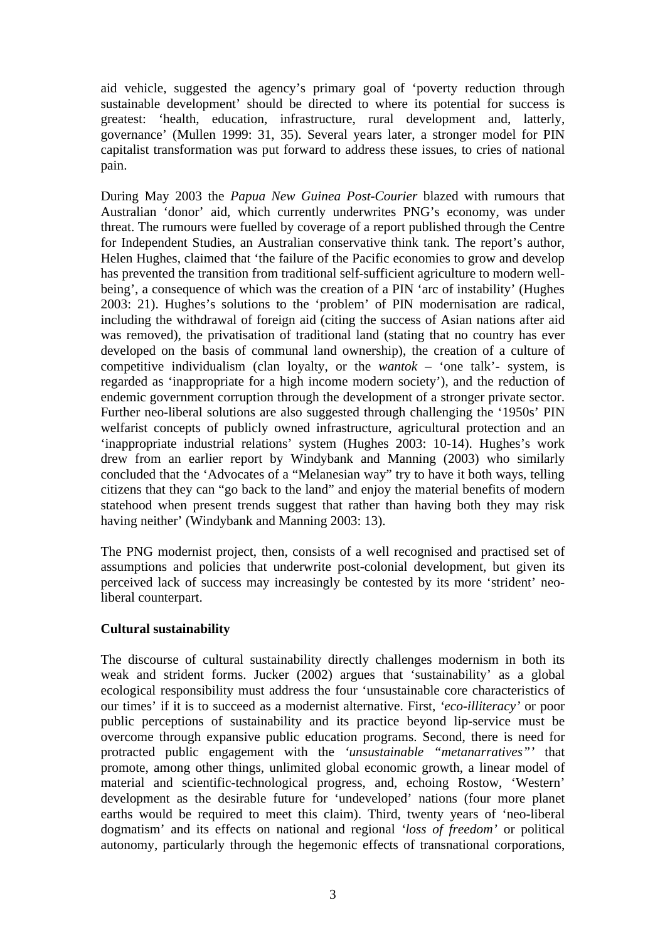aid vehicle, suggested the agency's primary goal of 'poverty reduction through sustainable development' should be directed to where its potential for success is greatest: 'health, education, infrastructure, rural development and, latterly, governance' (Mullen 1999: 31, 35). Several years later, a stronger model for PIN capitalist transformation was put forward to address these issues, to cries of national pain.

During May 2003 the *Papua New Guinea Post-Courier* blazed with rumours that Australian 'donor' aid, which currently underwrites PNG's economy, was under threat. The rumours were fuelled by coverage of a report published through the Centre for Independent Studies, an Australian conservative think tank. The report's author, Helen Hughes, claimed that 'the failure of the Pacific economies to grow and develop has prevented the transition from traditional self-sufficient agriculture to modern wellbeing', a consequence of which was the creation of a PIN 'arc of instability' (Hughes 2003: 21). Hughes's solutions to the 'problem' of PIN modernisation are radical, including the withdrawal of foreign aid (citing the success of Asian nations after aid was removed), the privatisation of traditional land (stating that no country has ever developed on the basis of communal land ownership), the creation of a culture of competitive individualism (clan loyalty, or the *wantok* – 'one talk'- system, is regarded as 'inappropriate for a high income modern society'), and the reduction of endemic government corruption through the development of a stronger private sector. Further neo-liberal solutions are also suggested through challenging the '1950s' PIN welfarist concepts of publicly owned infrastructure, agricultural protection and an 'inappropriate industrial relations' system (Hughes 2003: 10-14). Hughes's work drew from an earlier report by Windybank and Manning (2003) who similarly concluded that the 'Advocates of a "Melanesian way" try to have it both ways, telling citizens that they can "go back to the land" and enjoy the material benefits of modern statehood when present trends suggest that rather than having both they may risk having neither' (Windybank and Manning 2003: 13).

The PNG modernist project, then, consists of a well recognised and practised set of assumptions and policies that underwrite post-colonial development, but given its perceived lack of success may increasingly be contested by its more 'strident' neoliberal counterpart.

#### **Cultural sustainability**

The discourse of cultural sustainability directly challenges modernism in both its weak and strident forms. Jucker (2002) argues that 'sustainability' as a global ecological responsibility must address the four 'unsustainable core characteristics of our times' if it is to succeed as a modernist alternative. First, *'eco-illiteracy'* or poor public perceptions of sustainability and its practice beyond lip-service must be overcome through expansive public education programs. Second, there is need for protracted public engagement with the *'unsustainable "metanarratives"'* that promote, among other things, unlimited global economic growth, a linear model of material and scientific-technological progress, and, echoing Rostow, 'Western' development as the desirable future for 'undeveloped' nations (four more planet earths would be required to meet this claim). Third, twenty years of 'neo-liberal dogmatism' and its effects on national and regional *'loss of freedom'* or political autonomy, particularly through the hegemonic effects of transnational corporations,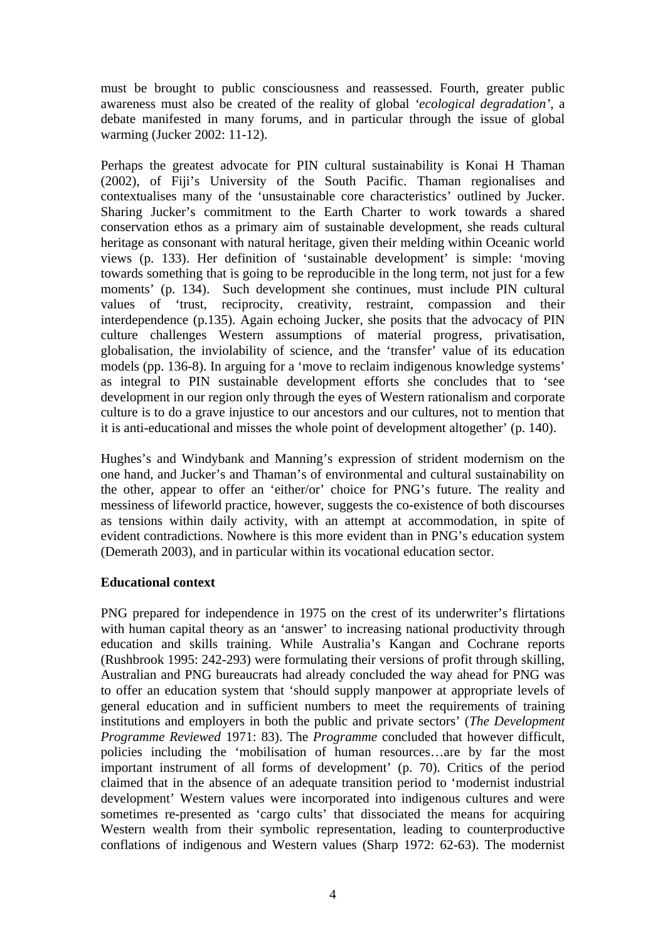must be brought to public consciousness and reassessed. Fourth, greater public awareness must also be created of the reality of global *'ecological degradation'*, a debate manifested in many forums, and in particular through the issue of global warming (Jucker 2002: 11-12).

Perhaps the greatest advocate for PIN cultural sustainability is Konai H Thaman (2002), of Fiji's University of the South Pacific. Thaman regionalises and contextualises many of the 'unsustainable core characteristics' outlined by Jucker. Sharing Jucker's commitment to the Earth Charter to work towards a shared conservation ethos as a primary aim of sustainable development, she reads cultural heritage as consonant with natural heritage, given their melding within Oceanic world views (p. 133). Her definition of 'sustainable development' is simple: 'moving towards something that is going to be reproducible in the long term, not just for a few moments' (p. 134). Such development she continues, must include PIN cultural values of 'trust, reciprocity, creativity, restraint, compassion and their interdependence (p.135). Again echoing Jucker, she posits that the advocacy of PIN culture challenges Western assumptions of material progress, privatisation, globalisation, the inviolability of science, and the 'transfer' value of its education models (pp. 136-8). In arguing for a 'move to reclaim indigenous knowledge systems' as integral to PIN sustainable development efforts she concludes that to 'see development in our region only through the eyes of Western rationalism and corporate culture is to do a grave injustice to our ancestors and our cultures, not to mention that it is anti-educational and misses the whole point of development altogether' (p. 140).

Hughes's and Windybank and Manning's expression of strident modernism on the one hand, and Jucker's and Thaman's of environmental and cultural sustainability on the other, appear to offer an 'either/or' choice for PNG's future. The reality and messiness of lifeworld practice, however, suggests the co-existence of both discourses as tensions within daily activity, with an attempt at accommodation, in spite of evident contradictions. Nowhere is this more evident than in PNG's education system (Demerath 2003), and in particular within its vocational education sector.

#### **Educational context**

PNG prepared for independence in 1975 on the crest of its underwriter's flirtations with human capital theory as an 'answer' to increasing national productivity through education and skills training. While Australia's Kangan and Cochrane reports (Rushbrook 1995: 242-293) were formulating their versions of profit through skilling, Australian and PNG bureaucrats had already concluded the way ahead for PNG was to offer an education system that 'should supply manpower at appropriate levels of general education and in sufficient numbers to meet the requirements of training institutions and employers in both the public and private sectors' (*The Development Programme Reviewed* 1971: 83). The *Programme* concluded that however difficult, policies including the 'mobilisation of human resources…are by far the most important instrument of all forms of development' (p. 70). Critics of the period claimed that in the absence of an adequate transition period to 'modernist industrial development' Western values were incorporated into indigenous cultures and were sometimes re-presented as 'cargo cults' that dissociated the means for acquiring Western wealth from their symbolic representation, leading to counterproductive conflations of indigenous and Western values (Sharp 1972: 62-63). The modernist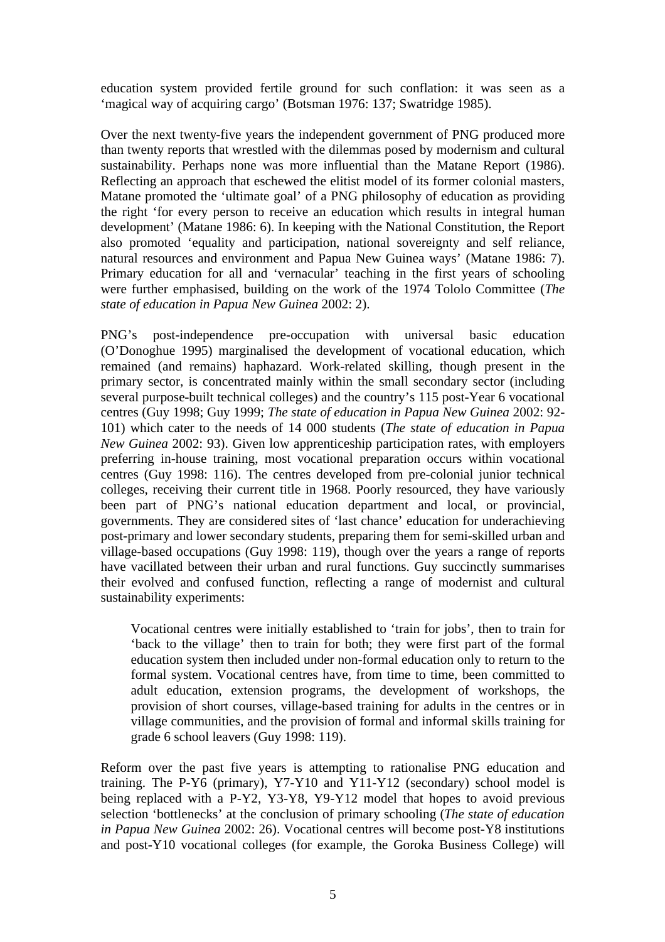education system provided fertile ground for such conflation: it was seen as a 'magical way of acquiring cargo' (Botsman 1976: 137; Swatridge 1985).

Over the next twenty-five years the independent government of PNG produced more than twenty reports that wrestled with the dilemmas posed by modernism and cultural sustainability. Perhaps none was more influential than the Matane Report (1986). Reflecting an approach that eschewed the elitist model of its former colonial masters, Matane promoted the 'ultimate goal' of a PNG philosophy of education as providing the right 'for every person to receive an education which results in integral human development' (Matane 1986: 6). In keeping with the National Constitution, the Report also promoted 'equality and participation, national sovereignty and self reliance, natural resources and environment and Papua New Guinea ways' (Matane 1986: 7). Primary education for all and 'vernacular' teaching in the first years of schooling were further emphasised, building on the work of the 1974 Tololo Committee (*The state of education in Papua New Guinea* 2002: 2).

PNG's post-independence pre-occupation with universal basic education (O'Donoghue 1995) marginalised the development of vocational education, which remained (and remains) haphazard. Work-related skilling, though present in the primary sector, is concentrated mainly within the small secondary sector (including several purpose-built technical colleges) and the country's 115 post-Year 6 vocational centres (Guy 1998; Guy 1999; *The state of education in Papua New Guinea* 2002: 92- 101) which cater to the needs of 14 000 students (*The state of education in Papua New Guinea* 2002: 93). Given low apprenticeship participation rates, with employers preferring in-house training, most vocational preparation occurs within vocational centres (Guy 1998: 116). The centres developed from pre-colonial junior technical colleges, receiving their current title in 1968. Poorly resourced, they have variously been part of PNG's national education department and local, or provincial, governments. They are considered sites of 'last chance' education for underachieving post-primary and lower secondary students, preparing them for semi-skilled urban and village-based occupations (Guy 1998: 119), though over the years a range of reports have vacillated between their urban and rural functions. Guy succinctly summarises their evolved and confused function, reflecting a range of modernist and cultural sustainability experiments:

Vocational centres were initially established to 'train for jobs', then to train for 'back to the village' then to train for both; they were first part of the formal education system then included under non-formal education only to return to the formal system. Vocational centres have, from time to time, been committed to adult education, extension programs, the development of workshops, the provision of short courses, village-based training for adults in the centres or in village communities, and the provision of formal and informal skills training for grade 6 school leavers (Guy 1998: 119).

Reform over the past five years is attempting to rationalise PNG education and training. The P-Y6 (primary), Y7-Y10 and Y11-Y12 (secondary) school model is being replaced with a P-Y2, Y3-Y8, Y9-Y12 model that hopes to avoid previous selection 'bottlenecks' at the conclusion of primary schooling (*The state of education in Papua New Guinea* 2002: 26). Vocational centres will become post-Y8 institutions and post-Y10 vocational colleges (for example, the Goroka Business College) will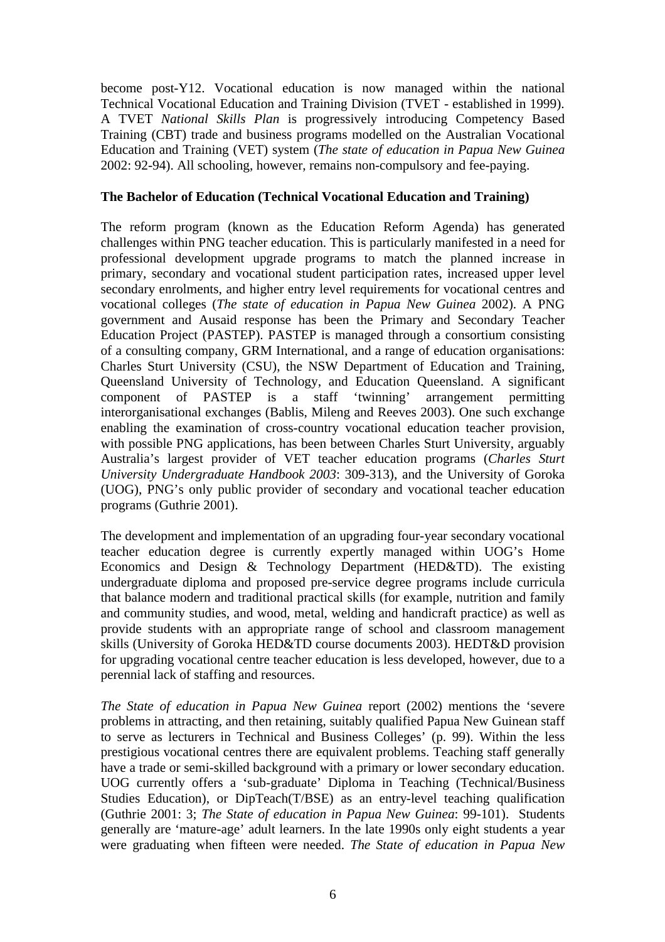become post-Y12. Vocational education is now managed within the national Technical Vocational Education and Training Division (TVET - established in 1999). A TVET *National Skills Plan* is progressively introducing Competency Based Training (CBT) trade and business programs modelled on the Australian Vocational Education and Training (VET) system (*The state of education in Papua New Guinea* 2002: 92-94). All schooling, however, remains non-compulsory and fee-paying.

### **The Bachelor of Education (Technical Vocational Education and Training)**

The reform program (known as the Education Reform Agenda) has generated challenges within PNG teacher education. This is particularly manifested in a need for professional development upgrade programs to match the planned increase in primary, secondary and vocational student participation rates, increased upper level secondary enrolments, and higher entry level requirements for vocational centres and vocational colleges (*The state of education in Papua New Guinea* 2002). A PNG government and Ausaid response has been the Primary and Secondary Teacher Education Project (PASTEP). PASTEP is managed through a consortium consisting of a consulting company, GRM International, and a range of education organisations: Charles Sturt University (CSU), the NSW Department of Education and Training, Queensland University of Technology, and Education Queensland. A significant component of PASTEP is a staff 'twinning' arrangement permitting interorganisational exchanges (Bablis, Mileng and Reeves 2003). One such exchange enabling the examination of cross-country vocational education teacher provision, with possible PNG applications, has been between Charles Sturt University, arguably Australia's largest provider of VET teacher education programs (*Charles Sturt University Undergraduate Handbook 2003*: 309-313), and the University of Goroka (UOG), PNG's only public provider of secondary and vocational teacher education programs (Guthrie 2001).

The development and implementation of an upgrading four-year secondary vocational teacher education degree is currently expertly managed within UOG's Home Economics and Design & Technology Department (HED&TD). The existing undergraduate diploma and proposed pre-service degree programs include curricula that balance modern and traditional practical skills (for example, nutrition and family and community studies, and wood, metal, welding and handicraft practice) as well as provide students with an appropriate range of school and classroom management skills (University of Goroka HED&TD course documents 2003). HEDT&D provision for upgrading vocational centre teacher education is less developed, however, due to a perennial lack of staffing and resources.

*The State of education in Papua New Guinea* report (2002) mentions the 'severe problems in attracting, and then retaining, suitably qualified Papua New Guinean staff to serve as lecturers in Technical and Business Colleges' (p. 99). Within the less prestigious vocational centres there are equivalent problems. Teaching staff generally have a trade or semi-skilled background with a primary or lower secondary education. UOG currently offers a 'sub-graduate' Diploma in Teaching (Technical/Business Studies Education), or DipTeach(T/BSE) as an entry-level teaching qualification (Guthrie 2001: 3; *The State of education in Papua New Guinea*: 99-101). Students generally are 'mature-age' adult learners. In the late 1990s only eight students a year were graduating when fifteen were needed. *The State of education in Papua New*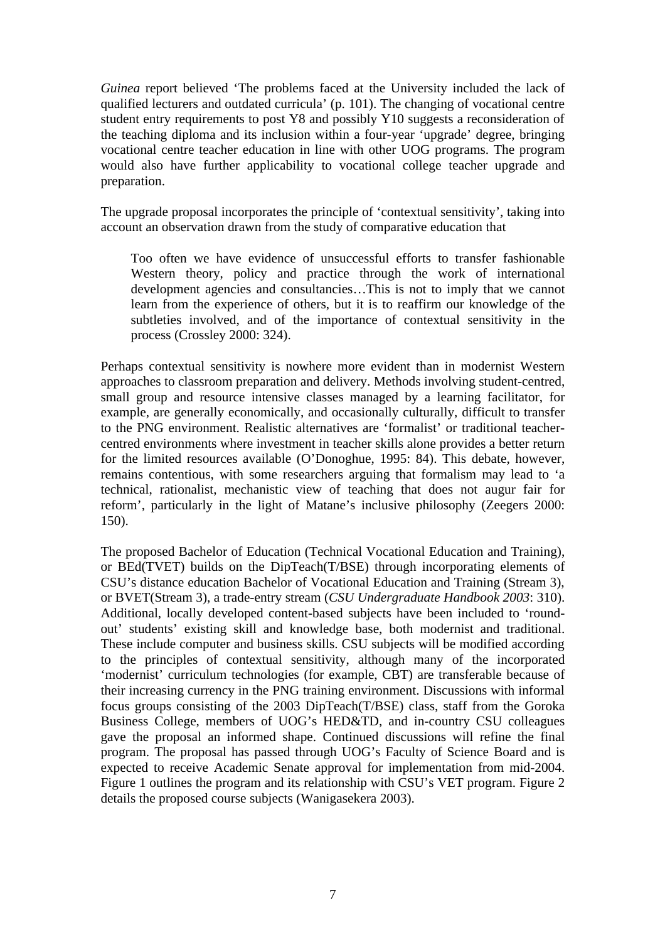*Guinea* report believed 'The problems faced at the University included the lack of qualified lecturers and outdated curricula' (p. 101). The changing of vocational centre student entry requirements to post Y8 and possibly Y10 suggests a reconsideration of the teaching diploma and its inclusion within a four-year 'upgrade' degree, bringing vocational centre teacher education in line with other UOG programs. The program would also have further applicability to vocational college teacher upgrade and preparation.

The upgrade proposal incorporates the principle of 'contextual sensitivity', taking into account an observation drawn from the study of comparative education that

Too often we have evidence of unsuccessful efforts to transfer fashionable Western theory, policy and practice through the work of international development agencies and consultancies…This is not to imply that we cannot learn from the experience of others, but it is to reaffirm our knowledge of the subtleties involved, and of the importance of contextual sensitivity in the process (Crossley 2000: 324).

Perhaps contextual sensitivity is nowhere more evident than in modernist Western approaches to classroom preparation and delivery. Methods involving student-centred, small group and resource intensive classes managed by a learning facilitator, for example, are generally economically, and occasionally culturally, difficult to transfer to the PNG environment. Realistic alternatives are 'formalist' or traditional teachercentred environments where investment in teacher skills alone provides a better return for the limited resources available (O'Donoghue, 1995: 84). This debate, however, remains contentious, with some researchers arguing that formalism may lead to 'a technical, rationalist, mechanistic view of teaching that does not augur fair for reform', particularly in the light of Matane's inclusive philosophy (Zeegers 2000: 150).

The proposed Bachelor of Education (Technical Vocational Education and Training), or BEd(TVET) builds on the DipTeach(T/BSE) through incorporating elements of CSU's distance education Bachelor of Vocational Education and Training (Stream 3), or BVET(Stream 3), a trade-entry stream (*CSU Undergraduate Handbook 2003*: 310). Additional, locally developed content-based subjects have been included to 'roundout' students' existing skill and knowledge base, both modernist and traditional. These include computer and business skills. CSU subjects will be modified according to the principles of contextual sensitivity, although many of the incorporated 'modernist' curriculum technologies (for example, CBT) are transferable because of their increasing currency in the PNG training environment. Discussions with informal focus groups consisting of the 2003 DipTeach(T/BSE) class, staff from the Goroka Business College, members of UOG's HED&TD, and in-country CSU colleagues gave the proposal an informed shape. Continued discussions will refine the final program. The proposal has passed through UOG's Faculty of Science Board and is expected to receive Academic Senate approval for implementation from mid-2004. Figure 1 outlines the program and its relationship with CSU's VET program. Figure 2 details the proposed course subjects (Wanigasekera 2003).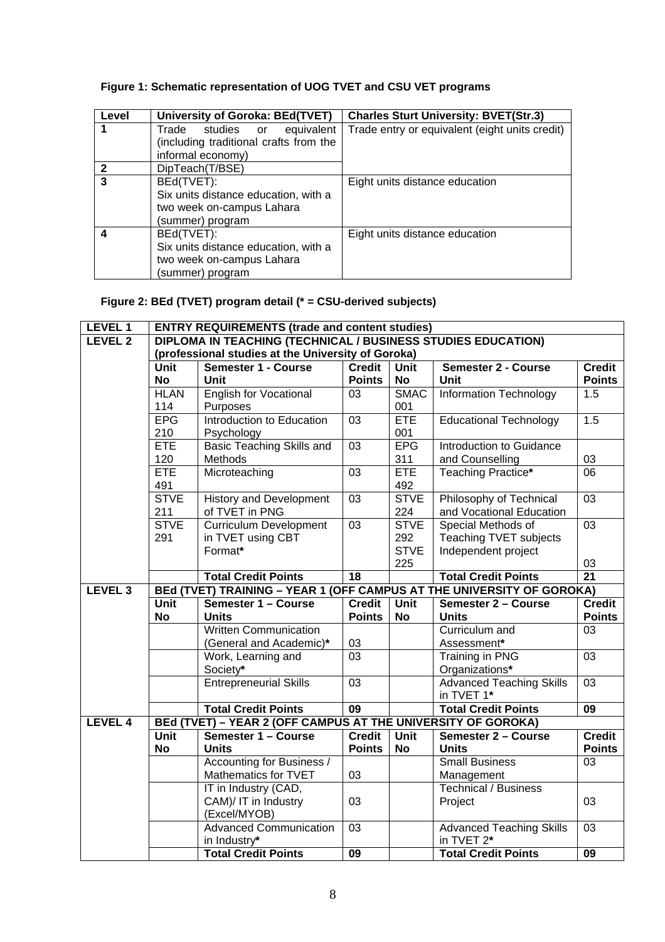## **Figure 1: Schematic representation of UOG TVET and CSU VET programs**

| Level          | <b>University of Goroka: BEd(TVET)</b> | <b>Charles Sturt University: BVET(Str.3)</b>   |
|----------------|----------------------------------------|------------------------------------------------|
|                | equivalent<br>Trade studies or         | Trade entry or equivalent (eight units credit) |
|                | (including traditional crafts from the |                                                |
|                | informal economy)                      |                                                |
| $\mathbf{2}$   | DipTeach(T/BSE)                        |                                                |
| $\overline{3}$ | BEd(TVET):                             | Eight units distance education                 |
|                | Six units distance education, with a   |                                                |
|                | two week on-campus Lahara              |                                                |
|                | (summer) program                       |                                                |
| 4              | BEd(TVET):                             | Eight units distance education                 |
|                | Six units distance education, with a   |                                                |
|                | two week on-campus Lahara              |                                                |
|                | (summer) program                       |                                                |

## **Figure 2: BEd (TVET) program detail (\* = CSU-derived subjects)**

| LEVEL 1            |                                                                                 | <b>ENTRY REQUIREMENTS (trade and content studies)</b>        |                 |             |                                          |                 |  |  |
|--------------------|---------------------------------------------------------------------------------|--------------------------------------------------------------|-----------------|-------------|------------------------------------------|-----------------|--|--|
| LEVEL <sub>2</sub> | DIPLOMA IN TEACHING (TECHNICAL / BUSINESS STUDIES EDUCATION)                    |                                                              |                 |             |                                          |                 |  |  |
|                    | (professional studies at the University of Goroka)                              |                                                              |                 |             |                                          |                 |  |  |
|                    | <b>Unit</b>                                                                     | <b>Semester 1 - Course</b>                                   | <b>Credit</b>   | <b>Unit</b> | <b>Semester 2 - Course</b>               | <b>Credit</b>   |  |  |
|                    | <b>No</b>                                                                       | Unit                                                         | <b>Points</b>   | <b>No</b>   | Unit                                     | <b>Points</b>   |  |  |
|                    | <b>HLAN</b>                                                                     | <b>English for Vocational</b>                                | 03              | <b>SMAC</b> | <b>Information Technology</b>            | 1.5             |  |  |
|                    | 114                                                                             | Purposes                                                     |                 | 001         |                                          |                 |  |  |
|                    | <b>EPG</b>                                                                      | Introduction to Education                                    | 03              | <b>ETE</b>  | Educational Technology                   | 1.5             |  |  |
|                    | 210                                                                             | Psychology                                                   |                 | 001         |                                          |                 |  |  |
|                    | <b>ETE</b>                                                                      | <b>Basic Teaching Skills and</b>                             | 03              | <b>EPG</b>  | Introduction to Guidance                 |                 |  |  |
|                    | 120                                                                             | Methods                                                      |                 | 311         | and Counselling                          | 03              |  |  |
|                    | ETE                                                                             | Microteaching                                                | $\overline{03}$ | <b>ETE</b>  | Teaching Practice*                       | $\overline{06}$ |  |  |
|                    | 491                                                                             |                                                              |                 | 492         |                                          |                 |  |  |
|                    | <b>STVE</b>                                                                     | <b>History and Development</b>                               | 03              | <b>STVE</b> | Philosophy of Technical                  | $\overline{03}$ |  |  |
|                    | 211                                                                             | of TVET in PNG                                               |                 | 224         | and Vocational Education                 |                 |  |  |
|                    | <b>STVE</b>                                                                     | <b>Curriculum Development</b>                                | $\overline{03}$ | <b>STVE</b> | Special Methods of                       | $\overline{03}$ |  |  |
|                    | 291                                                                             | in TVET using CBT                                            |                 | 292         | <b>Teaching TVET subjects</b>            |                 |  |  |
|                    |                                                                                 | Format*                                                      |                 | <b>STVE</b> | Independent project                      |                 |  |  |
|                    |                                                                                 |                                                              |                 | 225         |                                          | 03              |  |  |
|                    |                                                                                 | <b>Total Credit Points</b>                                   | 18              |             | <b>Total Credit Points</b>               | $\overline{21}$ |  |  |
| LEVEL <sub>3</sub> | (OFF CAMPUS AT THE UNIVERSITY OF GOROKA)<br><b>BEd (TVET) TRAINING - YEAR 1</b> |                                                              |                 |             |                                          |                 |  |  |
|                    |                                                                                 |                                                              |                 |             |                                          |                 |  |  |
|                    | <b>Unit</b>                                                                     | Semester 1 - Course                                          | Credit          | <b>Unit</b> | Semester 2 - Course                      | <b>Credit</b>   |  |  |
|                    | <b>No</b>                                                                       | <b>Units</b>                                                 | <b>Points</b>   | <b>No</b>   | <b>Units</b>                             | <b>Points</b>   |  |  |
|                    |                                                                                 | <b>Written Communication</b>                                 |                 |             | Curriculum and                           | 03              |  |  |
|                    |                                                                                 | (General and Academic)*                                      | 03              |             | Assessment*                              |                 |  |  |
|                    |                                                                                 | Work, Learning and                                           | 03              |             | <b>Training in PNG</b>                   | 03              |  |  |
|                    |                                                                                 | Society*                                                     |                 |             | Organizations*                           |                 |  |  |
|                    |                                                                                 | <b>Entrepreneurial Skills</b>                                | $\overline{03}$ |             | <b>Advanced Teaching Skills</b>          | $\overline{03}$ |  |  |
|                    |                                                                                 |                                                              |                 |             | in TVET 1*                               |                 |  |  |
|                    |                                                                                 | <b>Total Credit Points</b>                                   | $\overline{09}$ |             | <b>Total Credit Points</b>               | $\overline{09}$ |  |  |
| <b>LEVEL 4</b>     |                                                                                 | BEd (TVET) - YEAR 2 (OFF CAMPUS AT THE UNIVERSITY OF GOROKA) |                 |             |                                          |                 |  |  |
|                    | <b>Unit</b>                                                                     | Semester 1 - Course                                          | Credit          | <b>Unit</b> | Semester 2 - Course                      | Credit          |  |  |
|                    | <b>No</b>                                                                       | <b>Units</b>                                                 | <b>Points</b>   | <b>No</b>   | <b>Units</b>                             | <b>Points</b>   |  |  |
|                    |                                                                                 | Accounting for Business /                                    |                 |             | <b>Small Business</b>                    | 03              |  |  |
|                    |                                                                                 | Mathematics for TVET                                         | 03              |             | Management                               |                 |  |  |
|                    |                                                                                 | IT in Industry (CAD,                                         |                 |             | <b>Technical / Business</b>              |                 |  |  |
|                    |                                                                                 | CAM)/ IT in Industry                                         | 03              |             | Project                                  | 03              |  |  |
|                    |                                                                                 | (Excel/MYOB)                                                 |                 |             |                                          |                 |  |  |
|                    |                                                                                 | <b>Advanced Communication</b>                                | 03              |             | <b>Advanced Teaching Skills</b>          | 03              |  |  |
|                    |                                                                                 | in Industry*<br><b>Total Credit Points</b>                   | $\overline{09}$ |             | in TVET 2*<br><b>Total Credit Points</b> | $\overline{09}$ |  |  |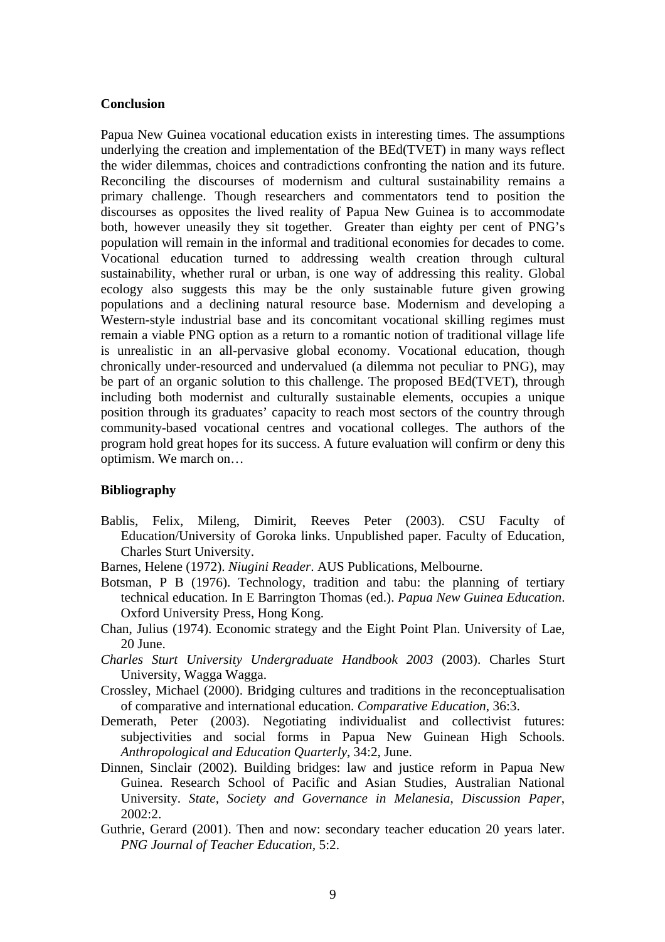#### **Conclusion**

Papua New Guinea vocational education exists in interesting times. The assumptions underlying the creation and implementation of the BEd(TVET) in many ways reflect the wider dilemmas, choices and contradictions confronting the nation and its future. Reconciling the discourses of modernism and cultural sustainability remains a primary challenge. Though researchers and commentators tend to position the discourses as opposites the lived reality of Papua New Guinea is to accommodate both, however uneasily they sit together. Greater than eighty per cent of PNG's population will remain in the informal and traditional economies for decades to come. Vocational education turned to addressing wealth creation through cultural sustainability, whether rural or urban, is one way of addressing this reality. Global ecology also suggests this may be the only sustainable future given growing populations and a declining natural resource base. Modernism and developing a Western-style industrial base and its concomitant vocational skilling regimes must remain a viable PNG option as a return to a romantic notion of traditional village life is unrealistic in an all-pervasive global economy. Vocational education, though chronically under-resourced and undervalued (a dilemma not peculiar to PNG), may be part of an organic solution to this challenge. The proposed BEd(TVET), through including both modernist and culturally sustainable elements, occupies a unique position through its graduates' capacity to reach most sectors of the country through community-based vocational centres and vocational colleges. The authors of the program hold great hopes for its success. A future evaluation will confirm or deny this optimism. We march on…

#### **Bibliography**

- Bablis, Felix, Mileng, Dimirit, Reeves Peter (2003). CSU Faculty of Education/University of Goroka links. Unpublished paper. Faculty of Education, Charles Sturt University.
- Barnes, Helene (1972). *Niugini Reader*. AUS Publications, Melbourne.
- Botsman, P B (1976). Technology, tradition and tabu: the planning of tertiary technical education. In E Barrington Thomas (ed.). *Papua New Guinea Education*. Oxford University Press, Hong Kong.
- Chan, Julius (1974). Economic strategy and the Eight Point Plan. University of Lae, 20 June.
- *Charles Sturt University Undergraduate Handbook 2003* (2003). Charles Sturt University, Wagga Wagga.
- Crossley, Michael (2000). Bridging cultures and traditions in the reconceptualisation of comparative and international education. *Comparative Education*, 36:3.
- Demerath, Peter (2003). Negotiating individualist and collectivist futures: subjectivities and social forms in Papua New Guinean High Schools. *Anthropological and Education Quarterly*, 34:2, June.
- Dinnen, Sinclair (2002). Building bridges: law and justice reform in Papua New Guinea. Research School of Pacific and Asian Studies, Australian National University. *State, Society and Governance in Melanesia*, *Discussion Paper*, 2002:2.
- Guthrie, Gerard (2001). Then and now: secondary teacher education 20 years later. *PNG Journal of Teacher Education,* 5:2.